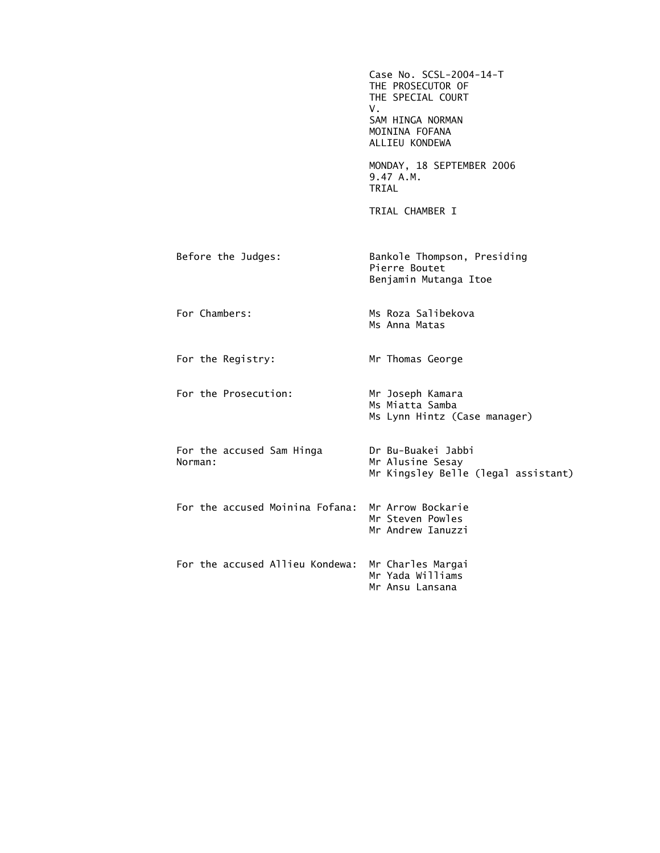|                                      | Case No. SCSL-2004-14-T<br>THE PROSECUTOR OF<br>THE SPECIAL COURT<br>V.<br>SAM HINGA NORMAN<br>MOININA FOFANA<br>ALLIEU KONDEWA |
|--------------------------------------|---------------------------------------------------------------------------------------------------------------------------------|
|                                      | MONDAY, 18 SEPTEMBER 2006<br>9.47 A.M.<br>TRIAL                                                                                 |
|                                      | TRIAL CHAMBER I                                                                                                                 |
| Before the Judges:                   | Bankole Thompson, Presiding<br>Pierre Boutet<br>Benjamin Mutanga Itoe                                                           |
| For Chambers:                        | Ms Roza Salibekova<br>Ms Anna Matas                                                                                             |
| For the Registry:                    | Mr Thomas George                                                                                                                |
| For the Prosecution:                 | Mr Joseph Kamara<br>Ms Miatta Samba<br>Ms Lynn Hintz (Case manager)                                                             |
| For the accused Sam Hinga<br>Norman: | Dr Bu-Buakei Jabbi<br>Mr Alusine Sesay<br>Mr Kingsley Belle (legal assistant)                                                   |
| For the accused Moinina Fofana:      | Mr Arrow Bockarie<br>Mr Steven Powles<br>Mr Andrew Ianuzzi                                                                      |
| For the accused Allieu Kondewa:      | Mr Charles Margai<br>Mr Yada Williams<br>Mr Ansu Lansana                                                                        |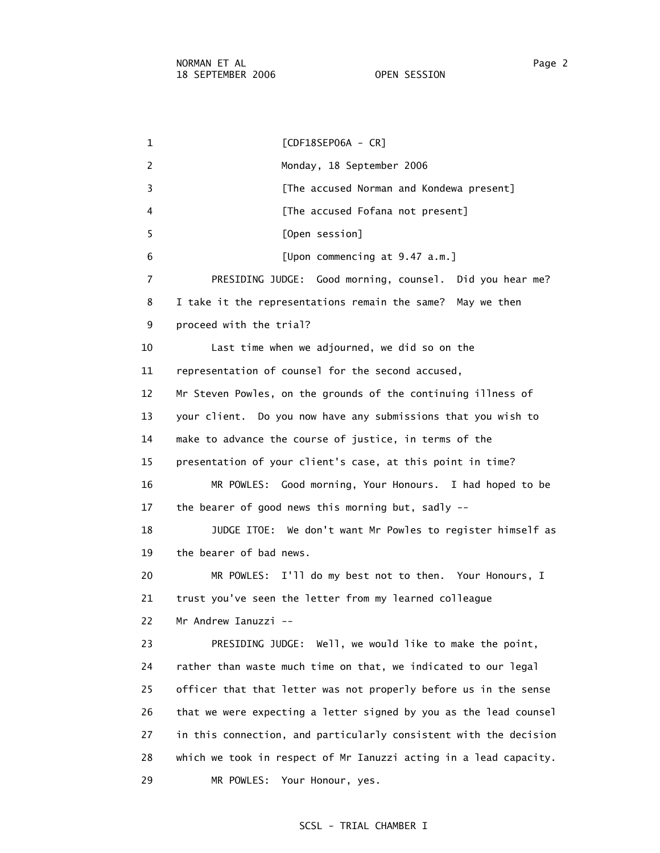1 [CDF18SEP06A - CR] 2 Monday, 18 September 2006 3 **Example 2** [The accused Norman and Kondewa present] 4 **A EXECUSE EXECUSE [The accused Fofana not present]**  5 [Open session] 6 [Upon commencing at 9.47 a.m.] 7 PRESIDING JUDGE: Good morning, counsel. Did you hear me? 8 I take it the representations remain the same? May we then 9 proceed with the trial? 10 Last time when we adjourned, we did so on the 11 representation of counsel for the second accused, 12 Mr Steven Powles, on the grounds of the continuing illness of 13 your client. Do you now have any submissions that you wish to 14 make to advance the course of justice, in terms of the 15 presentation of your client's case, at this point in time? 16 MR POWLES: Good morning, Your Honours. I had hoped to be 17 the bearer of good news this morning but, sadly -- 18 JUDGE ITOE: We don't want Mr Powles to register himself as 19 the bearer of bad news. 20 MR POWLES: I'll do my best not to then. Your Honours, I 21 trust you've seen the letter from my learned colleague 22 Mr Andrew Ianuzzi -- 23 PRESIDING JUDGE: Well, we would like to make the point, 24 rather than waste much time on that, we indicated to our legal 25 officer that that letter was not properly before us in the sense 26 that we were expecting a letter signed by you as the lead counsel 27 in this connection, and particularly consistent with the decision 28 which we took in respect of Mr Ianuzzi acting in a lead capacity. 29 MR POWLES: Your Honour, yes.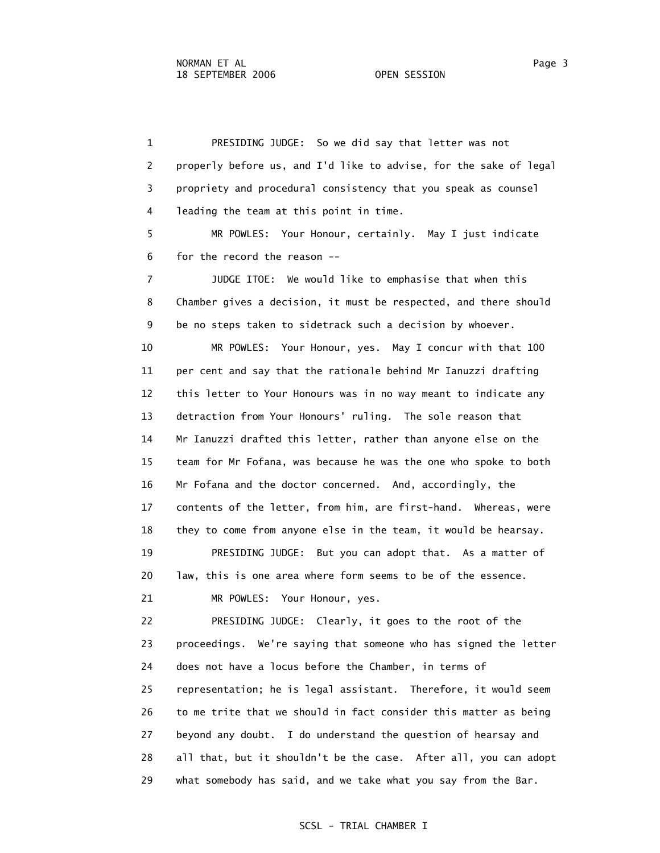1 PRESIDING JUDGE: So we did say that letter was not 2 properly before us, and I'd like to advise, for the sake of legal 3 propriety and procedural consistency that you speak as counsel 4 leading the team at this point in time. 5 MR POWLES: Your Honour, certainly. May I just indicate 6 for the record the reason -- 7 JUDGE ITOE: We would like to emphasise that when this 8 Chamber gives a decision, it must be respected, and there should 9 be no steps taken to sidetrack such a decision by whoever. 10 MR POWLES: Your Honour, yes. May I concur with that 100 11 per cent and say that the rationale behind Mr Ianuzzi drafting 12 this letter to Your Honours was in no way meant to indicate any 13 detraction from Your Honours' ruling. The sole reason that 14 Mr Ianuzzi drafted this letter, rather than anyone else on the 15 team for Mr Fofana, was because he was the one who spoke to both 16 Mr Fofana and the doctor concerned. And, accordingly, the 17 contents of the letter, from him, are first-hand. Whereas, were 18 they to come from anyone else in the team, it would be hearsay. 19 PRESIDING JUDGE: But you can adopt that. As a matter of 20 law, this is one area where form seems to be of the essence. 21 MR POWLES: Your Honour, yes. 22 PRESIDING JUDGE: Clearly, it goes to the root of the 23 proceedings. We're saying that someone who has signed the letter 24 does not have a locus before the Chamber, in terms of 25 representation; he is legal assistant. Therefore, it would seem 26 to me trite that we should in fact consider this matter as being 27 beyond any doubt. I do understand the question of hearsay and 28 all that, but it shouldn't be the case. After all, you can adopt 29 what somebody has said, and we take what you say from the Bar.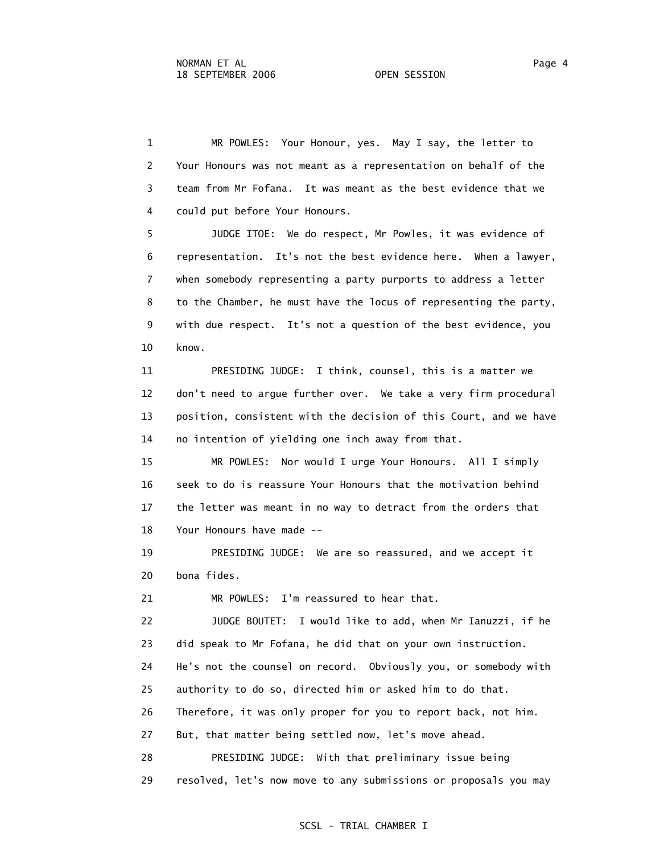1 MR POWLES: Your Honour, yes. May I say, the letter to 2 Your Honours was not meant as a representation on behalf of the 3 team from Mr Fofana. It was meant as the best evidence that we 4 could put before Your Honours.

 5 JUDGE ITOE: We do respect, Mr Powles, it was evidence of 6 representation. It's not the best evidence here. When a lawyer, 7 when somebody representing a party purports to address a letter 8 to the Chamber, he must have the locus of representing the party, 9 with due respect. It's not a question of the best evidence, you 10 know.

 11 PRESIDING JUDGE: I think, counsel, this is a matter we 12 don't need to argue further over. We take a very firm procedural 13 position, consistent with the decision of this Court, and we have 14 no intention of yielding one inch away from that.

 15 MR POWLES: Nor would I urge Your Honours. All I simply 16 seek to do is reassure Your Honours that the motivation behind 17 the letter was meant in no way to detract from the orders that 18 Your Honours have made --

 19 PRESIDING JUDGE: We are so reassured, and we accept it 20 bona fides.

21 MR POWLES: I'm reassured to hear that.

 22 JUDGE BOUTET: I would like to add, when Mr Ianuzzi, if he 23 did speak to Mr Fofana, he did that on your own instruction. 24 He's not the counsel on record. Obviously you, or somebody with 25 authority to do so, directed him or asked him to do that. 26 Therefore, it was only proper for you to report back, not him. 27 But, that matter being settled now, let's move ahead. 28 PRESIDING JUDGE: With that preliminary issue being 29 resolved, let's now move to any submissions or proposals you may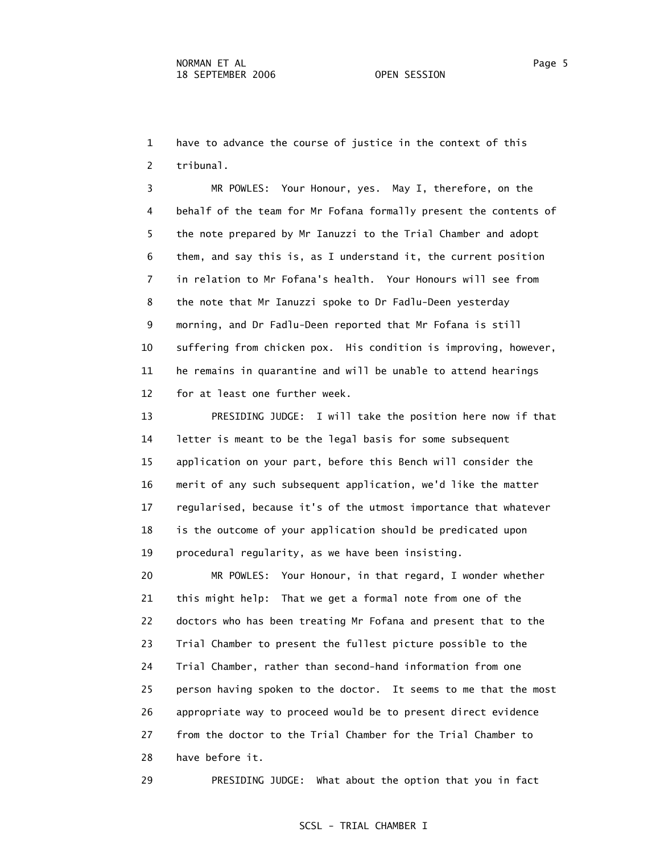1 have to advance the course of justice in the context of this 2 tribunal.

 3 MR POWLES: Your Honour, yes. May I, therefore, on the 4 behalf of the team for Mr Fofana formally present the contents of 5 the note prepared by Mr Ianuzzi to the Trial Chamber and adopt 6 them, and say this is, as I understand it, the current position 7 in relation to Mr Fofana's health. Your Honours will see from 8 the note that Mr Ianuzzi spoke to Dr Fadlu-Deen yesterday 9 morning, and Dr Fadlu-Deen reported that Mr Fofana is still 10 suffering from chicken pox. His condition is improving, however, 11 he remains in quarantine and will be unable to attend hearings 12 for at least one further week.

 13 PRESIDING JUDGE: I will take the position here now if that 14 letter is meant to be the legal basis for some subsequent 15 application on your part, before this Bench will consider the 16 merit of any such subsequent application, we'd like the matter 17 regularised, because it's of the utmost importance that whatever 18 is the outcome of your application should be predicated upon 19 procedural regularity, as we have been insisting.

 20 MR POWLES: Your Honour, in that regard, I wonder whether 21 this might help: That we get a formal note from one of the 22 doctors who has been treating Mr Fofana and present that to the 23 Trial Chamber to present the fullest picture possible to the 24 Trial Chamber, rather than second-hand information from one 25 person having spoken to the doctor. It seems to me that the most 26 appropriate way to proceed would be to present direct evidence 27 from the doctor to the Trial Chamber for the Trial Chamber to 28 have before it.

29 PRESIDING JUDGE: What about the option that you in fact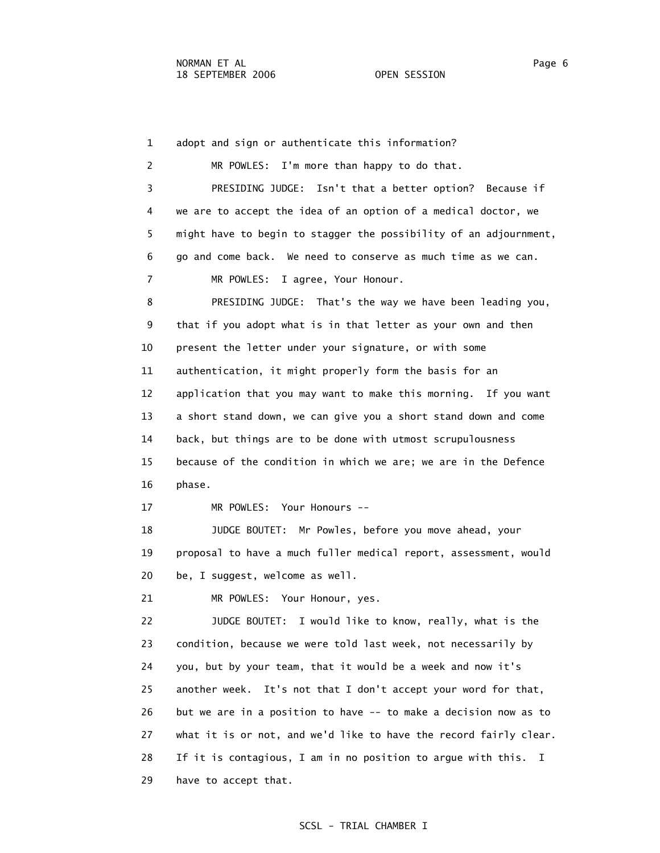1 adopt and sign or authenticate this information? 2 MR POWLES: I'm more than happy to do that. 3 PRESIDING JUDGE: Isn't that a better option? Because if 4 we are to accept the idea of an option of a medical doctor, we 5 might have to begin to stagger the possibility of an adjournment, 6 go and come back. We need to conserve as much time as we can. 7 MR POWLES: I agree, Your Honour. 8 PRESIDING JUDGE: That's the way we have been leading you, 9 that if you adopt what is in that letter as your own and then 10 present the letter under your signature, or with some 11 authentication, it might properly form the basis for an 12 application that you may want to make this morning. If you want 13 a short stand down, we can give you a short stand down and come 14 back, but things are to be done with utmost scrupulousness 15 because of the condition in which we are; we are in the Defence 16 phase. 17 MR POWLES: Your Honours -- 18 JUDGE BOUTET: Mr Powles, before you move ahead, your 19 proposal to have a much fuller medical report, assessment, would 20 be, I suggest, welcome as well. 21 MR POWLES: Your Honour, yes. 22 JUDGE BOUTET: I would like to know, really, what is the 23 condition, because we were told last week, not necessarily by 24 you, but by your team, that it would be a week and now it's 25 another week. It's not that I don't accept your word for that, 26 but we are in a position to have -- to make a decision now as to 27 what it is or not, and we'd like to have the record fairly clear. 28 If it is contagious, I am in no position to argue with this. I 29 have to accept that.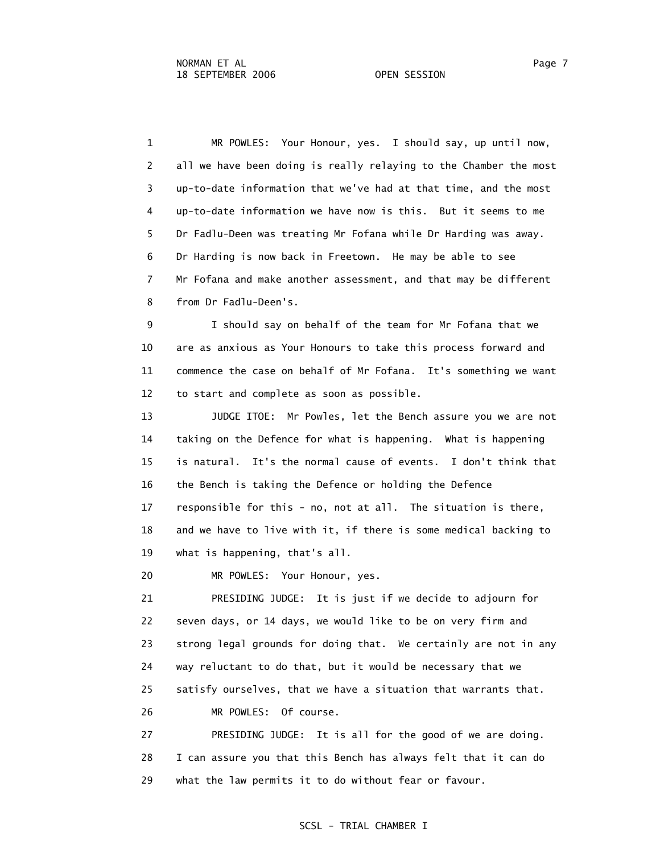1 MR POWLES: Your Honour, yes. I should say, up until now, 2 all we have been doing is really relaying to the Chamber the most 3 up-to-date information that we've had at that time, and the most 4 up-to-date information we have now is this. But it seems to me 5 Dr Fadlu-Deen was treating Mr Fofana while Dr Harding was away. 6 Dr Harding is now back in Freetown. He may be able to see 7 Mr Fofana and make another assessment, and that may be different 8 from Dr Fadlu-Deen's.

 9 I should say on behalf of the team for Mr Fofana that we 10 are as anxious as Your Honours to take this process forward and 11 commence the case on behalf of Mr Fofana. It's something we want 12 to start and complete as soon as possible.

 13 JUDGE ITOE: Mr Powles, let the Bench assure you we are not 14 taking on the Defence for what is happening. What is happening 15 is natural. It's the normal cause of events. I don't think that 16 the Bench is taking the Defence or holding the Defence 17 responsible for this - no, not at all. The situation is there, 18 and we have to live with it, if there is some medical backing to 19 what is happening, that's all.

20 MR POWLES: Your Honour, yes.

 21 PRESIDING JUDGE: It is just if we decide to adjourn for 22 seven days, or 14 days, we would like to be on very firm and 23 strong legal grounds for doing that. We certainly are not in any 24 way reluctant to do that, but it would be necessary that we 25 satisfy ourselves, that we have a situation that warrants that. 26 MR POWLES: Of course.

 27 PRESIDING JUDGE: It is all for the good of we are doing. 28 I can assure you that this Bench has always felt that it can do 29 what the law permits it to do without fear or favour.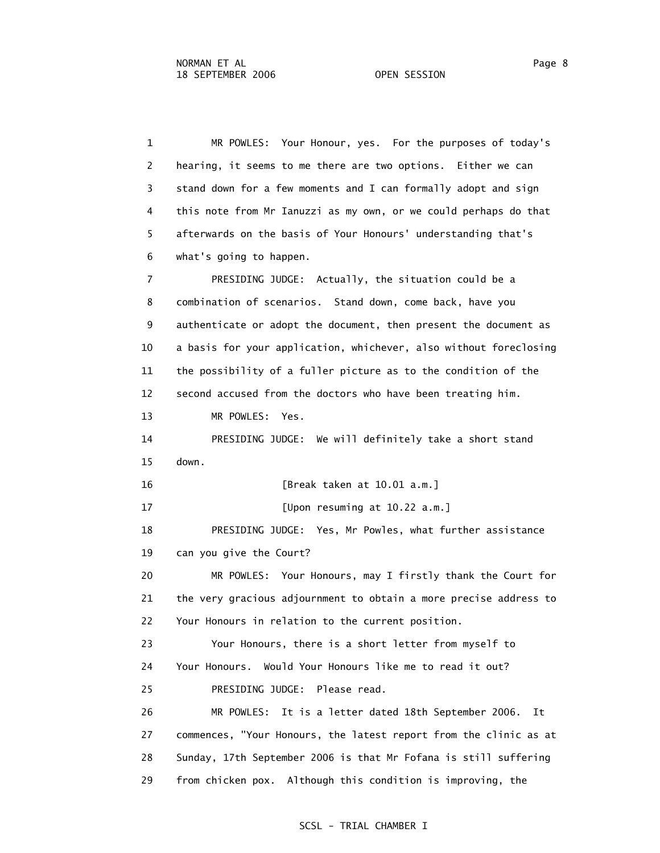1 MR POWLES: Your Honour, yes. For the purposes of today's 2 hearing, it seems to me there are two options. Either we can 3 stand down for a few moments and I can formally adopt and sign 4 this note from Mr Ianuzzi as my own, or we could perhaps do that 5 afterwards on the basis of Your Honours' understanding that's 6 what's going to happen. 7 PRESIDING JUDGE: Actually, the situation could be a 8 combination of scenarios. Stand down, come back, have you 9 authenticate or adopt the document, then present the document as 10 a basis for your application, whichever, also without foreclosing 11 the possibility of a fuller picture as to the condition of the 12 second accused from the doctors who have been treating him. 13 MR POWLES: Yes. 14 PRESIDING JUDGE: We will definitely take a short stand 15 down. 16 [Break taken at 10.01 a.m.] 17 [Upon resuming at 10.22 a.m.] 18 PRESIDING JUDGE: Yes, Mr Powles, what further assistance 19 can you give the Court? 20 MR POWLES: Your Honours, may I firstly thank the Court for 21 the very gracious adjournment to obtain a more precise address to 22 Your Honours in relation to the current position. 23 Your Honours, there is a short letter from myself to 24 Your Honours. Would Your Honours like me to read it out? 25 PRESIDING JUDGE: Please read. 26 MR POWLES: It is a letter dated 18th September 2006. It 27 commences, "Your Honours, the latest report from the clinic as at 28 Sunday, 17th September 2006 is that Mr Fofana is still suffering 29 from chicken pox. Although this condition is improving, the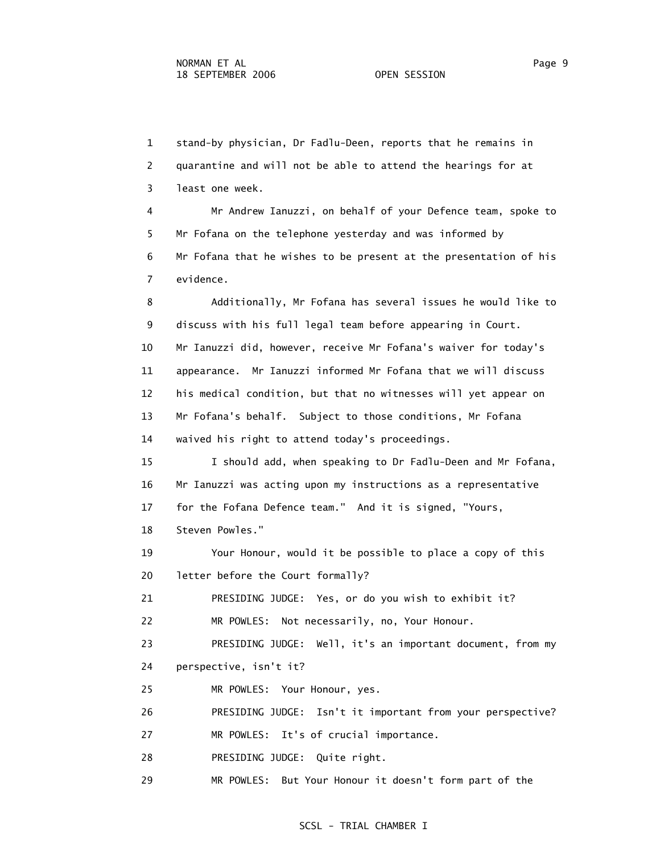1 stand-by physician, Dr Fadlu-Deen, reports that he remains in 2 quarantine and will not be able to attend the hearings for at 3 least one week.

 4 Mr Andrew Ianuzzi, on behalf of your Defence team, spoke to 5 Mr Fofana on the telephone yesterday and was informed by 6 Mr Fofana that he wishes to be present at the presentation of his 7 evidence.

 8 Additionally, Mr Fofana has several issues he would like to 9 discuss with his full legal team before appearing in Court. 10 Mr Ianuzzi did, however, receive Mr Fofana's waiver for today's 11 appearance. Mr Ianuzzi informed Mr Fofana that we will discuss 12 his medical condition, but that no witnesses will yet appear on 13 Mr Fofana's behalf. Subject to those conditions, Mr Fofana 14 waived his right to attend today's proceedings.

 15 I should add, when speaking to Dr Fadlu-Deen and Mr Fofana, 16 Mr Ianuzzi was acting upon my instructions as a representative 17 for the Fofana Defence team." And it is signed, "Yours,

18 Steven Powles."

 19 Your Honour, would it be possible to place a copy of this 20 letter before the Court formally?

21 PRESIDING JUDGE: Yes, or do you wish to exhibit it?

22 MR POWLES: Not necessarily, no, Your Honour.

 23 PRESIDING JUDGE: Well, it's an important document, from my 24 perspective, isn't it?

25 MR POWLES: Your Honour, yes.

26 PRESIDING JUDGE: Isn't it important from your perspective?

27 MR POWLES: It's of crucial importance.

28 PRESIDING JUDGE: Quite right.

29 MR POWLES: But Your Honour it doesn't form part of the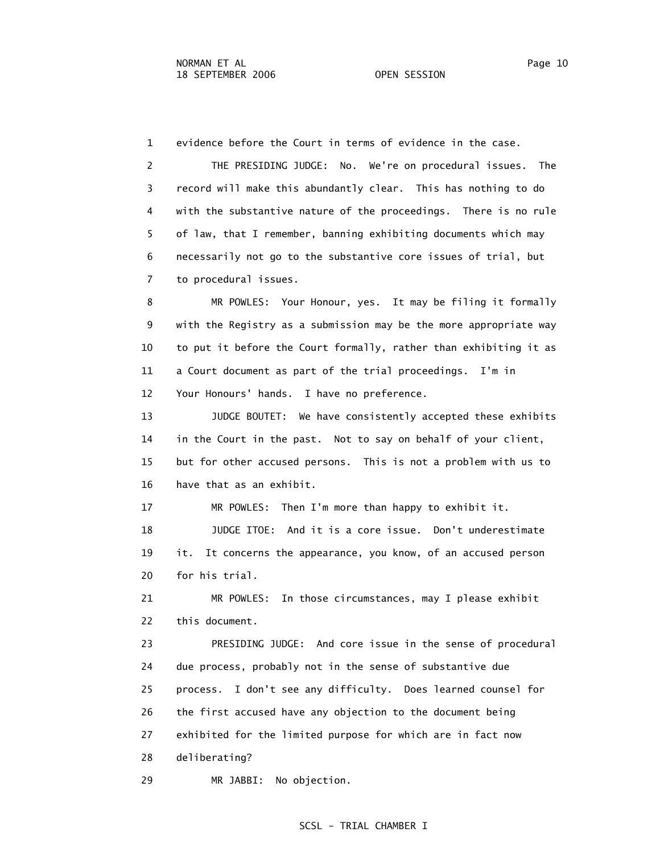1 evidence before the Court in terms of evidence in the case.

 2 THE PRESIDING JUDGE: No. We're on procedural issues. The 3 record will make this abundantly clear. This has nothing to do 4 with the substantive nature of the proceedings. There is no rule 5 of law, that I remember, banning exhibiting documents which may 6 necessarily not go to the substantive core issues of trial, but 7 to procedural issues.

 8 MR POWLES: Your Honour, yes. It may be filing it formally 9 with the Registry as a submission may be the more appropriate way 10 to put it before the Court formally, rather than exhibiting it as 11 a Court document as part of the trial proceedings. I'm in 12 Your Honours' hands. I have no preference.

 13 JUDGE BOUTET: We have consistently accepted these exhibits 14 in the Court in the past. Not to say on behalf of your client, 15 but for other accused persons. This is not a problem with us to 16 have that as an exhibit.

 17 MR POWLES: Then I'm more than happy to exhibit it. 18 JUDGE ITOE: And it is a core issue. Don't underestimate 19 it. It concerns the appearance, you know, of an accused person 20 for his trial.

 21 MR POWLES: In those circumstances, may I please exhibit 22 this document.

 23 PRESIDING JUDGE: And core issue in the sense of procedural 24 due process, probably not in the sense of substantive due 25 process. I don't see any difficulty. Does learned counsel for 26 the first accused have any objection to the document being 27 exhibited for the limited purpose for which are in fact now 28 deliberating?

29 MR JABBI: No objection.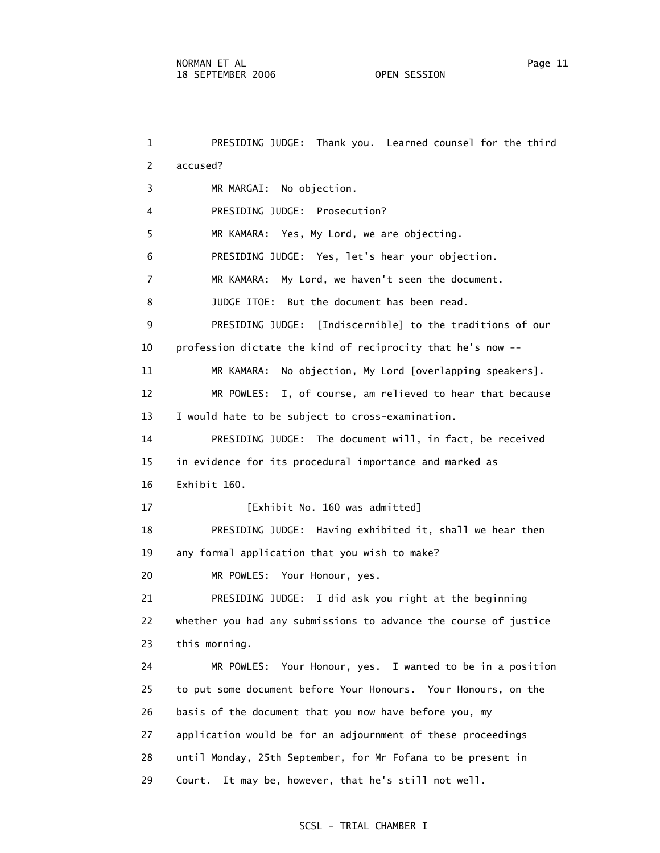1 PRESIDING JUDGE: Thank you. Learned counsel for the third 2 accused? 3 MR MARGAI: No objection. 4 PRESIDING JUDGE: Prosecution? 5 MR KAMARA: Yes, My Lord, we are objecting. 6 PRESIDING JUDGE: Yes, let's hear your objection. 7 MR KAMARA: My Lord, we haven't seen the document. 8 JUDGE ITOE: But the document has been read. 9 PRESIDING JUDGE: [Indiscernible] to the traditions of our 10 profession dictate the kind of reciprocity that he's now -- 11 MR KAMARA: No objection, My Lord [overlapping speakers]. 12 MR POWLES: I, of course, am relieved to hear that because 13 I would hate to be subject to cross-examination. 14 PRESIDING JUDGE: The document will, in fact, be received 15 in evidence for its procedural importance and marked as 16 Exhibit 160. 17 [Exhibit No. 160 was admitted] 18 PRESIDING JUDGE: Having exhibited it, shall we hear then 19 any formal application that you wish to make? 20 MR POWLES: Your Honour, yes. 21 PRESIDING JUDGE: I did ask you right at the beginning 22 whether you had any submissions to advance the course of justice 23 this morning. 24 MR POWLES: Your Honour, yes. I wanted to be in a position 25 to put some document before Your Honours. Your Honours, on the 26 basis of the document that you now have before you, my 27 application would be for an adjournment of these proceedings 28 until Monday, 25th September, for Mr Fofana to be present in 29 Court. It may be, however, that he's still not well.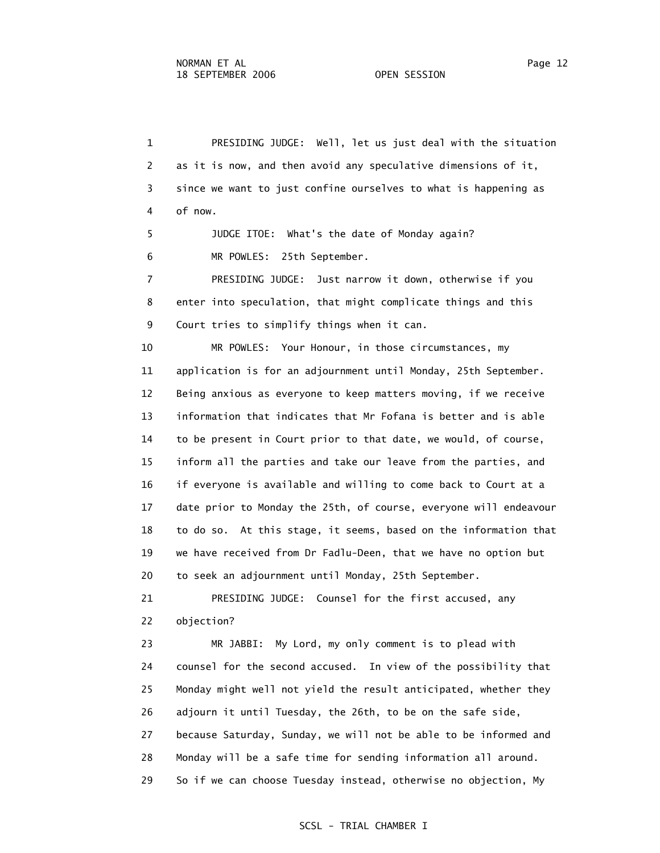2 as it is now, and then avoid any speculative dimensions of it, 3 since we want to just confine ourselves to what is happening as 4 of now. 5 JUDGE ITOE: What's the date of Monday again? 6 MR POWLES: 25th September. 7 PRESIDING JUDGE: Just narrow it down, otherwise if you 8 enter into speculation, that might complicate things and this 9 Court tries to simplify things when it can. 10 MR POWLES: Your Honour, in those circumstances, my 11 application is for an adjournment until Monday, 25th September. 12 Being anxious as everyone to keep matters moving, if we receive 13 information that indicates that Mr Fofana is better and is able 14 to be present in Court prior to that date, we would, of course, 15 inform all the parties and take our leave from the parties, and 16 if everyone is available and willing to come back to Court at a 17 date prior to Monday the 25th, of course, everyone will endeavour 18 to do so. At this stage, it seems, based on the information that 19 we have received from Dr Fadlu-Deen, that we have no option but 20 to seek an adjournment until Monday, 25th September. 21 PRESIDING JUDGE: Counsel for the first accused, any 22 objection? 23 MR JABBI: My Lord, my only comment is to plead with 24 counsel for the second accused. In view of the possibility that 25 Monday might well not yield the result anticipated, whether they 26 adjourn it until Tuesday, the 26th, to be on the safe side, 27 because Saturday, Sunday, we will not be able to be informed and 28 Monday will be a safe time for sending information all around. 29 So if we can choose Tuesday instead, otherwise no objection, My

1 PRESIDING JUDGE: Well, let us just deal with the situation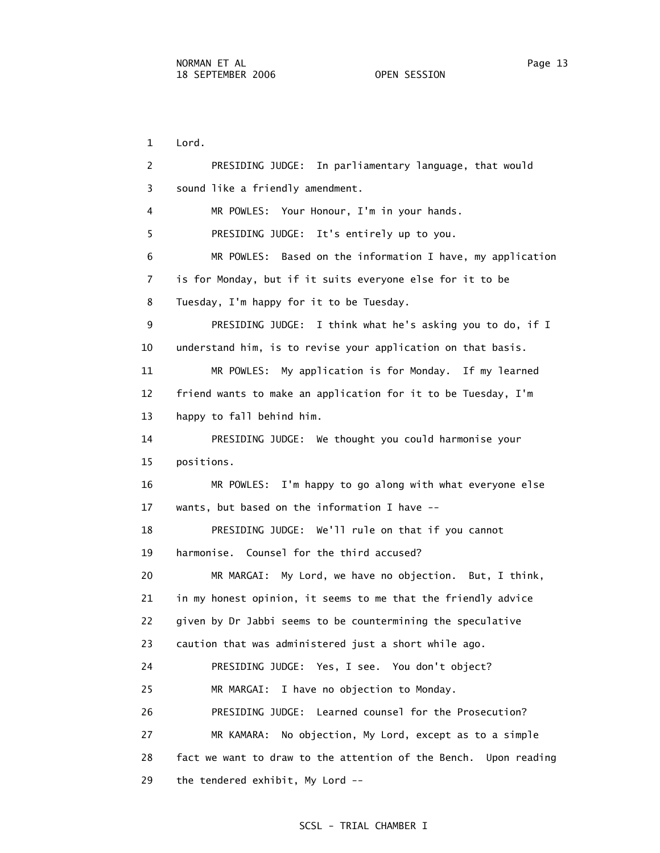1 Lord. 2 PRESIDING JUDGE: In parliamentary language, that would 3 sound like a friendly amendment. 4 MR POWLES: Your Honour, I'm in your hands. 5 PRESIDING JUDGE: It's entirely up to you. 6 MR POWLES: Based on the information I have, my application 7 is for Monday, but if it suits everyone else for it to be 8 Tuesday, I'm happy for it to be Tuesday. 9 PRESIDING JUDGE: I think what he's asking you to do, if I 10 understand him, is to revise your application on that basis. 11 MR POWLES: My application is for Monday. If my learned 12 friend wants to make an application for it to be Tuesday, I'm 13 happy to fall behind him. 14 PRESIDING JUDGE: We thought you could harmonise your 15 positions. 16 MR POWLES: I'm happy to go along with what everyone else 17 wants, but based on the information I have -- 18 PRESIDING JUDGE: We'll rule on that if you cannot 19 harmonise. Counsel for the third accused? 20 MR MARGAI: My Lord, we have no objection. But, I think, 21 in my honest opinion, it seems to me that the friendly advice 22 given by Dr Jabbi seems to be countermining the speculative 23 caution that was administered just a short while ago. 24 PRESIDING JUDGE: Yes, I see. You don't object? 25 MR MARGAI: I have no objection to Monday. 26 PRESIDING JUDGE: Learned counsel for the Prosecution? 27 MR KAMARA: No objection, My Lord, except as to a simple 28 fact we want to draw to the attention of the Bench. Upon reading 29 the tendered exhibit, My Lord --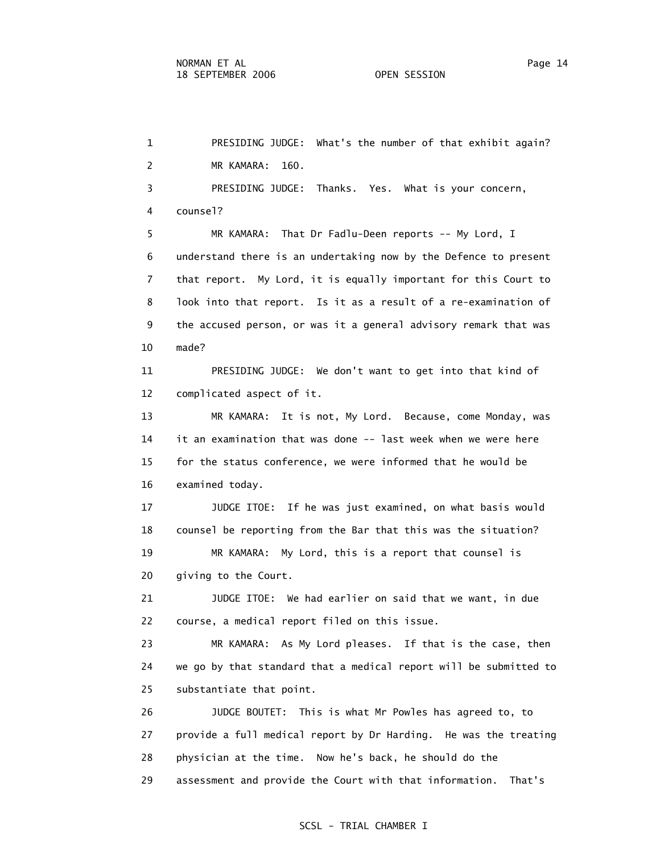1 PRESIDING JUDGE: What's the number of that exhibit again? 2 MR KAMARA: 160. 3 PRESIDING JUDGE: Thanks. Yes. What is your concern, 4 counsel? 5 MR KAMARA: That Dr Fadlu-Deen reports -- My Lord, I 6 understand there is an undertaking now by the Defence to present 7 that report. My Lord, it is equally important for this Court to 8 look into that report. Is it as a result of a re-examination of 9 the accused person, or was it a general advisory remark that was 10 made? 11 PRESIDING JUDGE: We don't want to get into that kind of 12 complicated aspect of it. 13 MR KAMARA: It is not, My Lord. Because, come Monday, was 14 it an examination that was done -- last week when we were here 15 for the status conference, we were informed that he would be 16 examined today. 17 JUDGE ITOE: If he was just examined, on what basis would 18 counsel be reporting from the Bar that this was the situation? 19 MR KAMARA: My Lord, this is a report that counsel is 20 giving to the Court. 21 JUDGE ITOE: We had earlier on said that we want, in due 22 course, a medical report filed on this issue. 23 MR KAMARA: As My Lord pleases. If that is the case, then 24 we go by that standard that a medical report will be submitted to 25 substantiate that point. 26 JUDGE BOUTET: This is what Mr Powles has agreed to, to 27 provide a full medical report by Dr Harding. He was the treating 28 physician at the time. Now he's back, he should do the 29 assessment and provide the Court with that information. That's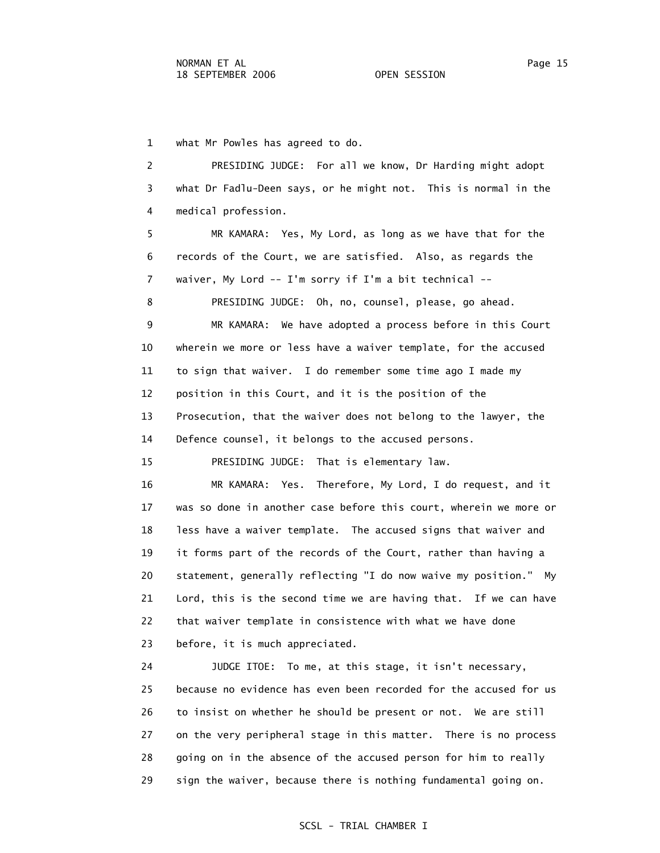1 what Mr Powles has agreed to do.

 2 PRESIDING JUDGE: For all we know, Dr Harding might adopt 3 what Dr Fadlu-Deen says, or he might not. This is normal in the 4 medical profession.

 5 MR KAMARA: Yes, My Lord, as long as we have that for the 6 records of the Court, we are satisfied. Also, as regards the 7 waiver, My Lord -- I'm sorry if I'm a bit technical --

8 PRESIDING JUDGE: Oh, no, counsel, please, go ahead.

 9 MR KAMARA: We have adopted a process before in this Court 10 wherein we more or less have a waiver template, for the accused 11 to sign that waiver. I do remember some time ago I made my 12 position in this Court, and it is the position of the 13 Prosecution, that the waiver does not belong to the lawyer, the 14 Defence counsel, it belongs to the accused persons.

15 PRESIDING JUDGE: That is elementary law.

 16 MR KAMARA: Yes. Therefore, My Lord, I do request, and it 17 was so done in another case before this court, wherein we more or 18 less have a waiver template. The accused signs that waiver and 19 it forms part of the records of the Court, rather than having a 20 statement, generally reflecting "I do now waive my position." My 21 Lord, this is the second time we are having that. If we can have 22 that waiver template in consistence with what we have done 23 before, it is much appreciated.

 24 JUDGE ITOE: To me, at this stage, it isn't necessary, 25 because no evidence has even been recorded for the accused for us 26 to insist on whether he should be present or not. We are still 27 on the very peripheral stage in this matter. There is no process 28 going on in the absence of the accused person for him to really 29 sign the waiver, because there is nothing fundamental going on.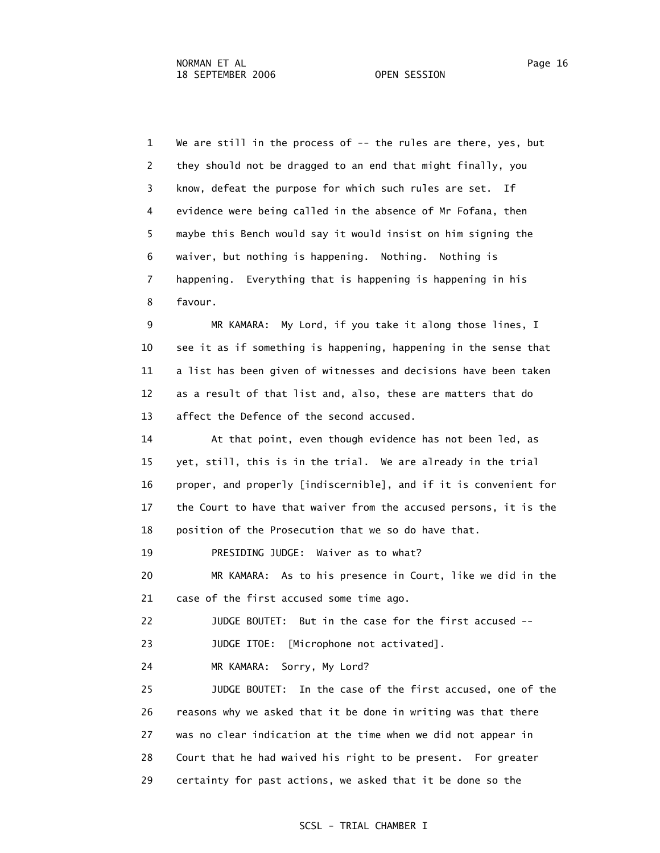1 We are still in the process of -- the rules are there, yes, but 2 they should not be dragged to an end that might finally, you 3 know, defeat the purpose for which such rules are set. If 4 evidence were being called in the absence of Mr Fofana, then 5 maybe this Bench would say it would insist on him signing the 6 waiver, but nothing is happening. Nothing. Nothing is 7 happening. Everything that is happening is happening in his 8 favour.

 9 MR KAMARA: My Lord, if you take it along those lines, I 10 see it as if something is happening, happening in the sense that 11 a list has been given of witnesses and decisions have been taken 12 as a result of that list and, also, these are matters that do 13 affect the Defence of the second accused.

 14 At that point, even though evidence has not been led, as 15 yet, still, this is in the trial. We are already in the trial 16 proper, and properly [indiscernible], and if it is convenient for 17 the Court to have that waiver from the accused persons, it is the 18 position of the Prosecution that we so do have that.

19 PRESIDING JUDGE: Waiver as to what?

 20 MR KAMARA: As to his presence in Court, like we did in the 21 case of the first accused some time ago.

22 JUDGE BOUTET: But in the case for the first accused --

23 JUDGE ITOE: [Microphone not activated].

24 MR KAMARA: Sorry, My Lord?

 25 JUDGE BOUTET: In the case of the first accused, one of the 26 reasons why we asked that it be done in writing was that there 27 was no clear indication at the time when we did not appear in 28 Court that he had waived his right to be present. For greater 29 certainty for past actions, we asked that it be done so the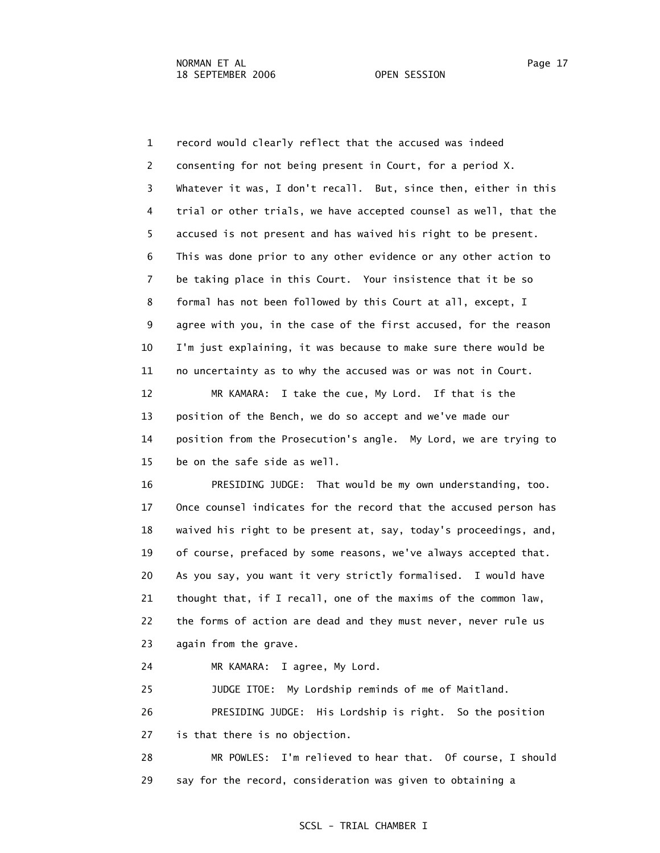1 record would clearly reflect that the accused was indeed 2 consenting for not being present in Court, for a period X. 3 Whatever it was, I don't recall. But, since then, either in this 4 trial or other trials, we have accepted counsel as well, that the 5 accused is not present and has waived his right to be present. 6 This was done prior to any other evidence or any other action to 7 be taking place in this Court. Your insistence that it be so 8 formal has not been followed by this Court at all, except, I 9 agree with you, in the case of the first accused, for the reason 10 I'm just explaining, it was because to make sure there would be 11 no uncertainty as to why the accused was or was not in Court.

 12 MR KAMARA: I take the cue, My Lord. If that is the 13 position of the Bench, we do so accept and we've made our 14 position from the Prosecution's angle. My Lord, we are trying to 15 be on the safe side as well.

 16 PRESIDING JUDGE: That would be my own understanding, too. 17 Once counsel indicates for the record that the accused person has 18 waived his right to be present at, say, today's proceedings, and, 19 of course, prefaced by some reasons, we've always accepted that. 20 As you say, you want it very strictly formalised. I would have 21 thought that, if I recall, one of the maxims of the common law, 22 the forms of action are dead and they must never, never rule us 23 again from the grave.

24 MR KAMARA: I agree, My Lord.

 25 JUDGE ITOE: My Lordship reminds of me of Maitland. 26 PRESIDING JUDGE: His Lordship is right. So the position 27 is that there is no objection.

 28 MR POWLES: I'm relieved to hear that. Of course, I should 29 say for the record, consideration was given to obtaining a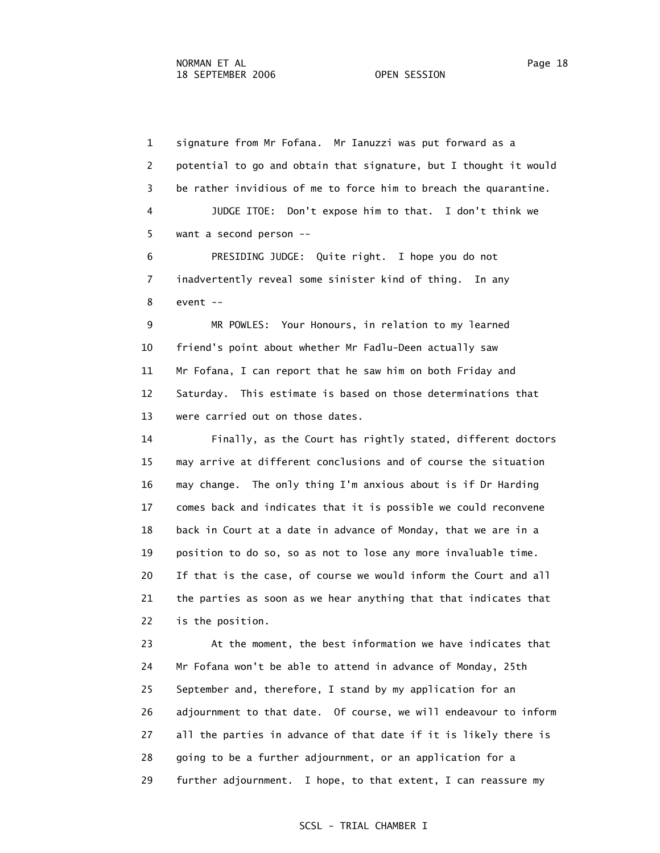1 signature from Mr Fofana. Mr Ianuzzi was put forward as a 2 potential to go and obtain that signature, but I thought it would 3 be rather invidious of me to force him to breach the quarantine. 4 JUDGE ITOE: Don't expose him to that. I don't think we 5 want a second person --

 6 PRESIDING JUDGE: Quite right. I hope you do not 7 inadvertently reveal some sinister kind of thing. In any 8 event --

 9 MR POWLES: Your Honours, in relation to my learned 10 friend's point about whether Mr Fadlu-Deen actually saw 11 Mr Fofana, I can report that he saw him on both Friday and 12 Saturday. This estimate is based on those determinations that 13 were carried out on those dates.

 14 Finally, as the Court has rightly stated, different doctors 15 may arrive at different conclusions and of course the situation 16 may change. The only thing I'm anxious about is if Dr Harding 17 comes back and indicates that it is possible we could reconvene 18 back in Court at a date in advance of Monday, that we are in a 19 position to do so, so as not to lose any more invaluable time. 20 If that is the case, of course we would inform the Court and all 21 the parties as soon as we hear anything that that indicates that 22 is the position.

 23 At the moment, the best information we have indicates that 24 Mr Fofana won't be able to attend in advance of Monday, 25th 25 September and, therefore, I stand by my application for an 26 adjournment to that date. Of course, we will endeavour to inform 27 all the parties in advance of that date if it is likely there is 28 going to be a further adjournment, or an application for a 29 further adjournment. I hope, to that extent, I can reassure my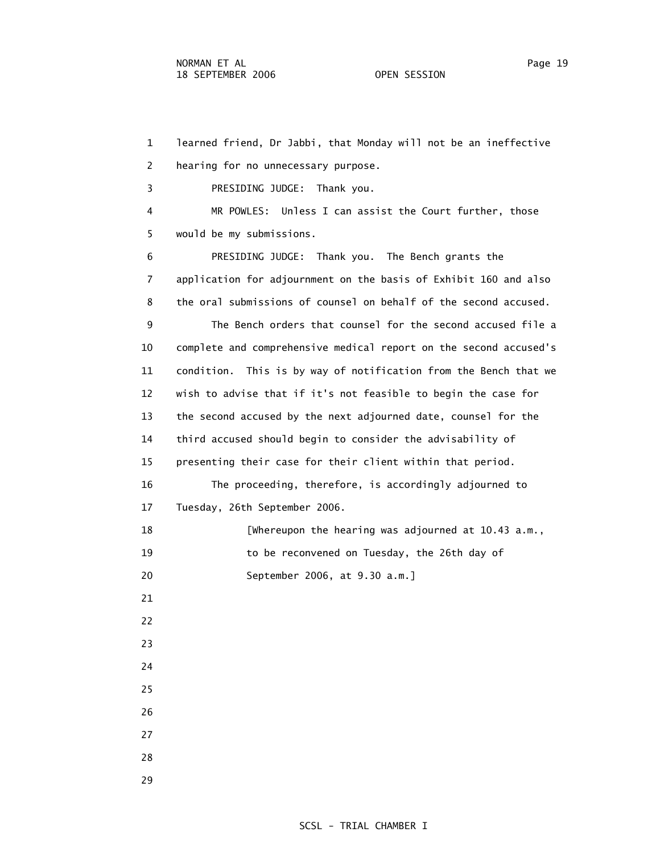1 learned friend, Dr Jabbi, that Monday will not be an ineffective 2 hearing for no unnecessary purpose.

3 PRESIDING JUDGE: Thank you.

 4 MR POWLES: Unless I can assist the Court further, those 5 would be my submissions.

 6 PRESIDING JUDGE: Thank you. The Bench grants the 7 application for adjournment on the basis of Exhibit 160 and also 8 the oral submissions of counsel on behalf of the second accused.

 9 The Bench orders that counsel for the second accused file a 10 complete and comprehensive medical report on the second accused's 11 condition. This is by way of notification from the Bench that we 12 wish to advise that if it's not feasible to begin the case for 13 the second accused by the next adjourned date, counsel for the 14 third accused should begin to consider the advisability of 15 presenting their case for their client within that period. 16 The proceeding, therefore, is accordingly adjourned to 17 Tuesday, 26th September 2006. 18 [Whereupon the hearing was adjourned at 10.43 a.m., 19 to be reconvened on Tuesday, the 26th day of 20 September 2006, at 9.30 a.m.] 21 22 23

24

25

26

27

28

29